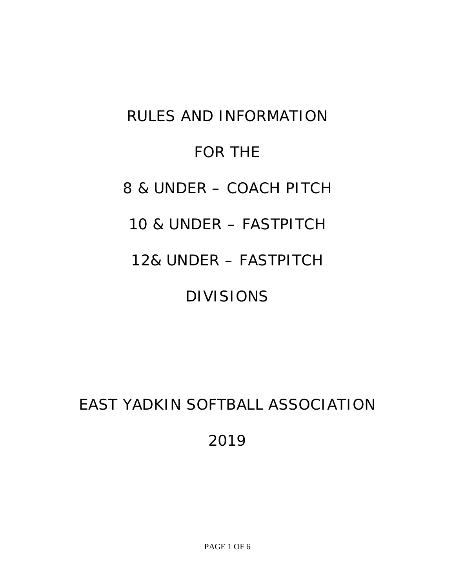# RULES AND INFORMATION FOR THE 8 & UNDER – COACH PITCH 10 & UNDER – FASTPITCH 12& UNDER – FASTPITCH DIVISIONS

# EAST YADKIN SOFTBALL ASSOCIATION 2019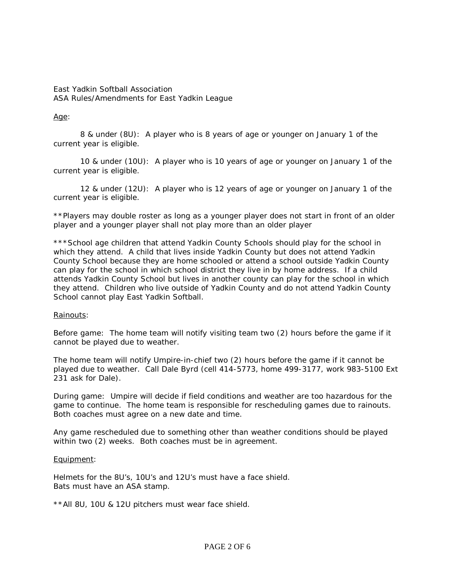# East Yadkin Softball Association ASA Rules/Amendments for East Yadkin League

# Age:

8 & under (8U): A player who is 8 years of age or younger on January 1 of the current year is eligible.

10 & under (10U): A player who is 10 years of age or younger on January 1 of the current year is eligible.

12 & under (12U): A player who is 12 years of age or younger on January 1 of the current year is eligible.

\*\*Players may double roster as long as a younger player does not start in front of an older player and a younger player shall not play more than an older player

\*\*\*School age children that attend Yadkin County Schools should play for the school in which they attend. A child that lives inside Yadkin County but does not attend Yadkin County School because they are home schooled or attend a school outside Yadkin County can play for the school in which school district they live in by home address. If a child attends Yadkin County School but lives in another county can play for the school in which they attend. Children who live outside of Yadkin County and do not attend Yadkin County School cannot play East Yadkin Softball.

# Rainouts:

Before game: The home team will notify visiting team two (2) hours before the game if it cannot be played due to weather.

The home team will notify Umpire-in-chief two (2) hours before the game if it cannot be played due to weather. Call Dale Byrd (cell 414-5773, home 499-3177, work 983-5100 Ext 231 ask for Dale).

During game: Umpire will decide if field conditions and weather are too hazardous for the game to continue. The home team is responsible for rescheduling games due to rainouts. Both coaches must agree on a new date and time.

Any game rescheduled due to something other than weather conditions should be played within two (2) weeks. Both coaches must be in agreement.

# Equipment:

Helmets for the 8U's, 10U's and 12U's must have a face shield. Bats must have an ASA stamp.

\*\*All 8U, 10U & 12U pitchers must wear face shield.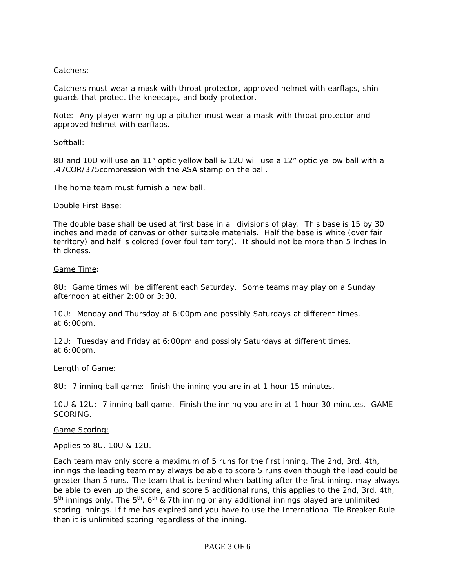# Catchers:

Catchers must wear a mask with throat protector, approved helmet with earflaps, shin guards that protect the kneecaps, and body protector.

Note: Any player warming up a pitcher must wear a mask with throat protector and approved helmet with earflaps.

#### Softball:

8U and 10U will use an 11" optic yellow ball & 12U will use a 12" optic yellow ball with a .47COR/375compression with the ASA stamp on the ball.

The home team must furnish a new ball.

#### Double First Base:

The double base shall be used at first base in all divisions of play. This base is 15 by 30 inches and made of canvas or other suitable materials. Half the base is white (over fair territory) and half is colored (over foul territory). It should not be more than 5 inches in thickness.

#### Game Time:

8U: Game times will be different each Saturday. Some teams may play on a Sunday afternoon at either 2:00 or 3:30.

10U: Monday and Thursday at 6:00pm and possibly Saturdays at different times. at 6:00pm.

12U: Tuesday and Friday at 6:00pm and possibly Saturdays at different times. at 6:00pm.

#### Length of Game:

8U: 7 inning ball game: finish the inning you are in at 1 hour 15 minutes.

10U & 12U: 7 inning ball game. Finish the inning you are in at 1 hour 30 minutes. GAME SCORING.

#### Game Scoring:

Applies to 8U, 10U & 12U.

Each team may only score a maximum of 5 runs for the first inning. The 2nd, 3rd, 4th, innings the leading team may always be able to score 5 runs even though the lead could be greater than 5 runs. The team that is behind when batting after the first inning, may always be able to even up the score, and score 5 additional runs, this applies to the 2nd, 3rd, 4th,  $5<sup>th</sup>$  innings only. The  $5<sup>th</sup>$ , 6<sup>th</sup> & 7th inning or any additional innings played are unlimited scoring innings. If time has expired and you have to use the International Tie Breaker Rule then it is unlimited scoring regardless of the inning.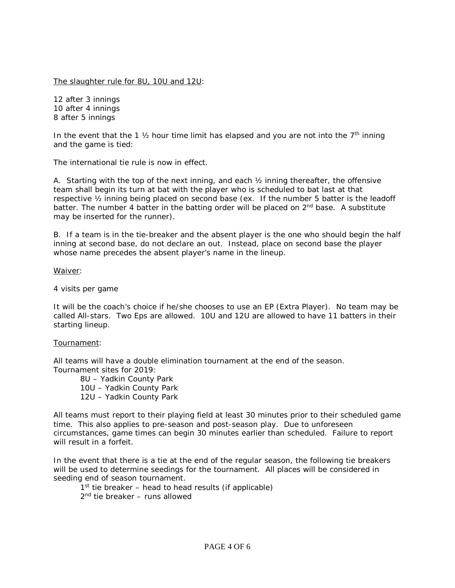The slaughter rule for 8U, 10U and 12U:

12 after 3 innings 10 after 4 innings 8 after 5 innings

In the event that the 1  $\frac{1}{2}$  hour time limit has elapsed and you are not into the  $7<sup>th</sup>$  inning and the game is tied:

The international tie rule is now in effect.

A. Starting with the top of the next inning, and each  $\frac{1}{2}$  inning thereafter, the offensive team shall begin its turn at bat with the player who is scheduled to bat last at that respective ½ inning being placed on second base (ex. If the number 5 batter is the leadoff batter. The number 4 batter in the batting order will be placed on 2<sup>nd</sup> base. A substitute may be inserted for the runner).

B. If a team is in the tie-breaker and the absent player is the one who should begin the half inning at second base, do not declare an out. Instead, place on second base the player whose name precedes the absent player's name in the lineup.

#### Waiver:

4 visits per game

It will be the coach's choice if he/she chooses to use an EP (Extra Player). No team may be called All-stars. Two Eps are allowed. 10U and 12U are allowed to have 11 batters in their starting lineup.

#### Tournament:

All teams will have a double elimination tournament at the end of the season. Tournament sites for 2019:

8U – Yadkin County Park 10U – Yadkin County Park 12U – Yadkin County Park

All teams must report to their playing field at least 30 minutes prior to their scheduled game time. This also applies to pre-season and post-season play. Due to unforeseen circumstances, game times can begin 30 minutes earlier than scheduled. Failure to report will result in a forfeit.

In the event that there is a tie at the end of the regular season, the following tie breakers will be used to determine seedings for the tournament. All places will be considered in seeding end of season tournament.

 $1<sup>st</sup>$  tie breaker – head to head results (if applicable)

2nd tie breaker – runs allowed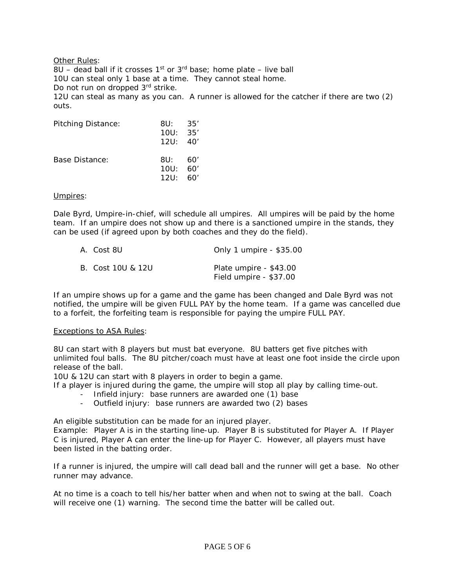Other Rules: 8U – dead ball if it crosses  $1^{st}$  or  $3^{rd}$  base; home plate – live ball 10U can steal only 1 base at a time. They cannot steal home. Do not run on dropped 3<sup>rd</sup> strike. 12U can steal as many as you can. A runner is allowed for the catcher if there are two (2) outs.

| <b>Pitching Distance:</b> | 8U: 35'<br>10U: 35'<br>12U: 40' |     |
|---------------------------|---------------------------------|-----|
| Base Distance:            | 8U: 60'<br>10U: 60'<br>12U:     | 60' |

#### Umpires:

Dale Byrd, Umpire-in-chief, will schedule all umpires. All umpires will be paid by the home team. If an umpire does not show up and there is a sanctioned umpire in the stands, they can be used (if agreed upon by both coaches and they do the field).

| A. Cost 8U        | Only 1 umpire - \$35.00                          |
|-------------------|--------------------------------------------------|
| B. Cost 10U & 12U | Plate umpire - \$43.00<br>Field umpire - \$37.00 |

If an umpire shows up for a game and the game has been changed and Dale Byrd was not notified, the umpire will be given FULL PAY by the home team. If a game was cancelled due to a forfeit, the forfeiting team is responsible for paying the umpire FULL PAY.

#### Exceptions to ASA Rules:

8U can start with 8 players but must bat everyone. 8U batters get five pitches with unlimited foul balls. The 8U pitcher/coach must have at least one foot inside the circle upon release of the ball.

10U & 12U can start with 8 players in order to begin a game.

If a player is injured during the game, the umpire will stop all play by calling time-out.

- Infield injury: base runners are awarded one (1) base
- Outfield injury: base runners are awarded two (2) bases

An eligible substitution can be made for an injured player.

Example: Player A is in the starting line-up. Player B is substituted for Player A. If Player C is injured, Player A can enter the line-up for Player C. However, all players must have been listed in the batting order.

If a runner is injured, the umpire will call dead ball and the runner will get a base. No other runner may advance.

At no time is a coach to tell his/her batter when and when not to swing at the ball. Coach will receive one (1) warning. The second time the batter will be called out.